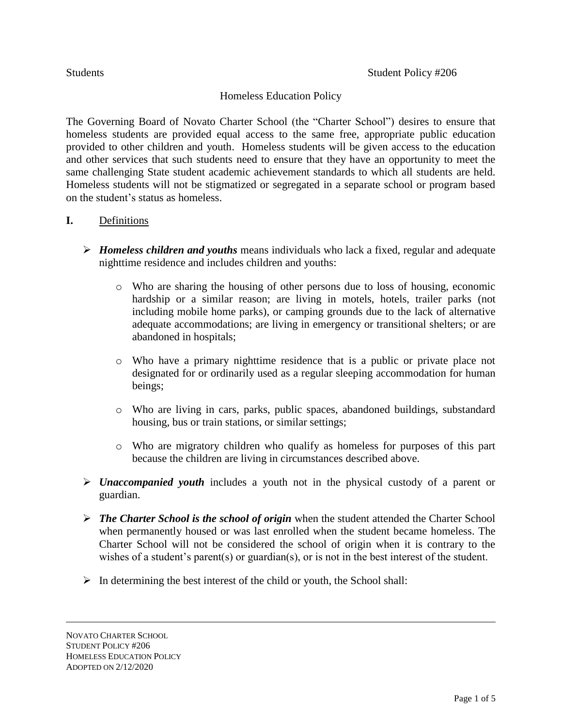# Homeless Education Policy

The Governing Board of Novato Charter School (the "Charter School") desires to ensure that homeless students are provided equal access to the same free, appropriate public education provided to other children and youth. Homeless students will be given access to the education and other services that such students need to ensure that they have an opportunity to meet the same challenging State student academic achievement standards to which all students are held. Homeless students will not be stigmatized or segregated in a separate school or program based on the student's status as homeless.

#### **I.** Definitions

- *Homeless children and youths* means individuals who lack a fixed, regular and adequate nighttime residence and includes children and youths:
	- o Who are sharing the housing of other persons due to loss of housing, economic hardship or a similar reason; are living in motels, hotels, trailer parks (not including mobile home parks), or camping grounds due to the lack of alternative adequate accommodations; are living in emergency or transitional shelters; or are abandoned in hospitals;
	- o Who have a primary nighttime residence that is a public or private place not designated for or ordinarily used as a regular sleeping accommodation for human beings;
	- o Who are living in cars, parks, public spaces, abandoned buildings, substandard housing, bus or train stations, or similar settings;
	- o Who are migratory children who qualify as homeless for purposes of this part because the children are living in circumstances described above.
- *Unaccompanied youth* includes a youth not in the physical custody of a parent or guardian.
- *The Charter School is the school of origin* when the student attended the Charter School when permanently housed or was last enrolled when the student became homeless. The Charter School will not be considered the school of origin when it is contrary to the wishes of a student's parent(s) or guardian(s), or is not in the best interest of the student.
- $\triangleright$  In determining the best interest of the child or youth, the School shall: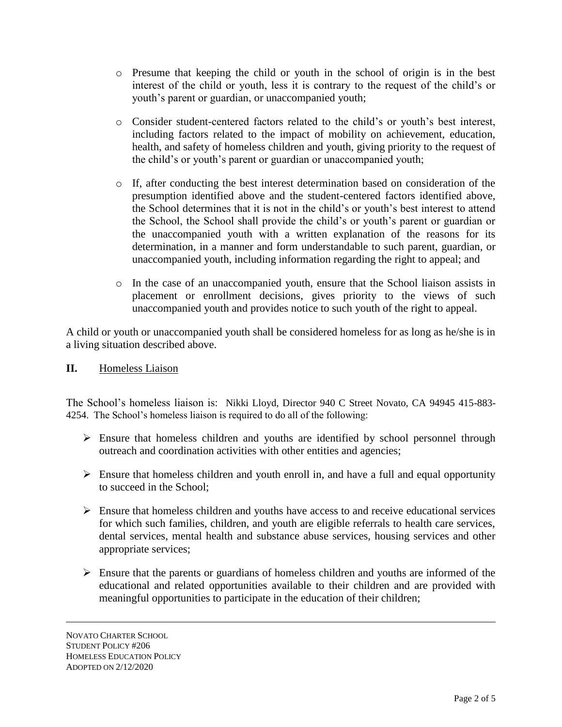- o Presume that keeping the child or youth in the school of origin is in the best interest of the child or youth, less it is contrary to the request of the child's or youth's parent or guardian, or unaccompanied youth;
- o Consider student-centered factors related to the child's or youth's best interest, including factors related to the impact of mobility on achievement, education, health, and safety of homeless children and youth, giving priority to the request of the child's or youth's parent or guardian or unaccompanied youth;
- o If, after conducting the best interest determination based on consideration of the presumption identified above and the student-centered factors identified above, the School determines that it is not in the child's or youth's best interest to attend the School, the School shall provide the child's or youth's parent or guardian or the unaccompanied youth with a written explanation of the reasons for its determination, in a manner and form understandable to such parent, guardian, or unaccompanied youth, including information regarding the right to appeal; and
- o In the case of an unaccompanied youth, ensure that the School liaison assists in placement or enrollment decisions, gives priority to the views of such unaccompanied youth and provides notice to such youth of the right to appeal.

A child or youth or unaccompanied youth shall be considered homeless for as long as he/she is in a living situation described above.

**II.** Homeless Liaison

The School's homeless liaison is: Nikki Lloyd, Director 940 C Street Novato, CA 94945 415-883- 4254. The School's homeless liaison is required to do all of the following:

- Ensure that homeless children and youths are identified by school personnel through outreach and coordination activities with other entities and agencies;
- $\triangleright$  Ensure that homeless children and youth enroll in, and have a full and equal opportunity to succeed in the School;
- $\triangleright$  Ensure that homeless children and youths have access to and receive educational services for which such families, children, and youth are eligible referrals to health care services, dental services, mental health and substance abuse services, housing services and other appropriate services;
- $\triangleright$  Ensure that the parents or guardians of homeless children and youths are informed of the educational and related opportunities available to their children and are provided with meaningful opportunities to participate in the education of their children;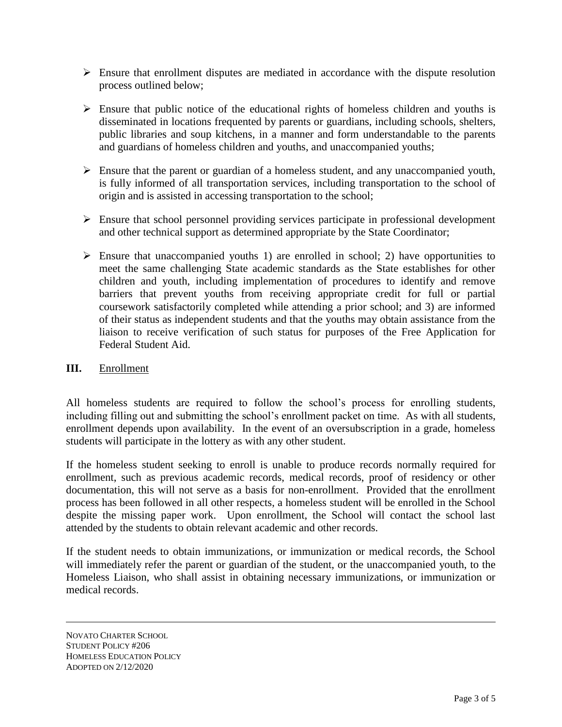- $\triangleright$  Ensure that enrollment disputes are mediated in accordance with the dispute resolution process outlined below;
- $\triangleright$  Ensure that public notice of the educational rights of homeless children and youths is disseminated in locations frequented by parents or guardians, including schools, shelters, public libraries and soup kitchens, in a manner and form understandable to the parents and guardians of homeless children and youths, and unaccompanied youths;
- $\triangleright$  Ensure that the parent or guardian of a homeless student, and any unaccompanied youth, is fully informed of all transportation services, including transportation to the school of origin and is assisted in accessing transportation to the school;
- $\triangleright$  Ensure that school personnel providing services participate in professional development and other technical support as determined appropriate by the State Coordinator;
- $\triangleright$  Ensure that unaccompanied youths 1) are enrolled in school; 2) have opportunities to meet the same challenging State academic standards as the State establishes for other children and youth, including implementation of procedures to identify and remove barriers that prevent youths from receiving appropriate credit for full or partial coursework satisfactorily completed while attending a prior school; and 3) are informed of their status as independent students and that the youths may obtain assistance from the liaison to receive verification of such status for purposes of the Free Application for Federal Student Aid.

# **III.** Enrollment

All homeless students are required to follow the school's process for enrolling students, including filling out and submitting the school's enrollment packet on time. As with all students, enrollment depends upon availability. In the event of an oversubscription in a grade, homeless students will participate in the lottery as with any other student.

If the homeless student seeking to enroll is unable to produce records normally required for enrollment, such as previous academic records, medical records, proof of residency or other documentation, this will not serve as a basis for non-enrollment. Provided that the enrollment process has been followed in all other respects, a homeless student will be enrolled in the School despite the missing paper work. Upon enrollment, the School will contact the school last attended by the students to obtain relevant academic and other records.

If the student needs to obtain immunizations, or immunization or medical records, the School will immediately refer the parent or guardian of the student, or the unaccompanied youth, to the Homeless Liaison, who shall assist in obtaining necessary immunizations, or immunization or medical records.

NOVATO CHARTER SCHOOL STUDENT POLICY #206 HOMELESS EDUCATION POLICY ADOPTED ON 2/12/2020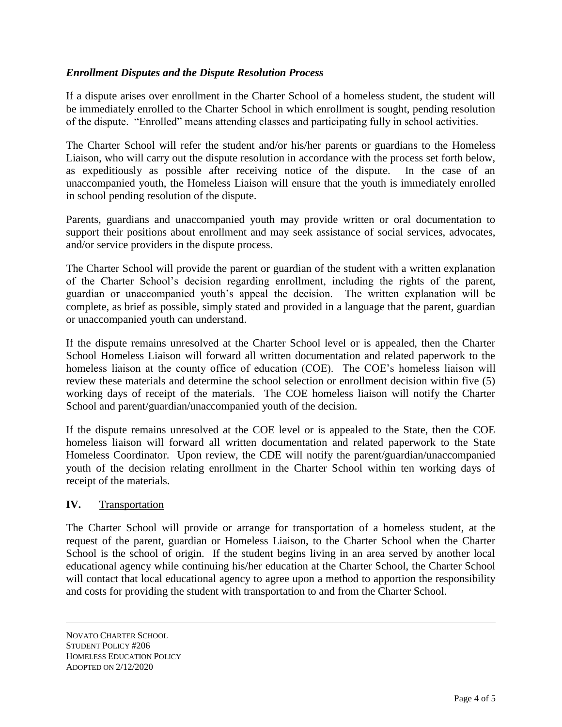# *Enrollment Disputes and the Dispute Resolution Process*

If a dispute arises over enrollment in the Charter School of a homeless student, the student will be immediately enrolled to the Charter School in which enrollment is sought, pending resolution of the dispute. "Enrolled" means attending classes and participating fully in school activities.

The Charter School will refer the student and/or his/her parents or guardians to the Homeless Liaison, who will carry out the dispute resolution in accordance with the process set forth below, as expeditiously as possible after receiving notice of the dispute. In the case of an unaccompanied youth, the Homeless Liaison will ensure that the youth is immediately enrolled in school pending resolution of the dispute.

Parents, guardians and unaccompanied youth may provide written or oral documentation to support their positions about enrollment and may seek assistance of social services, advocates, and/or service providers in the dispute process.

The Charter School will provide the parent or guardian of the student with a written explanation of the Charter School's decision regarding enrollment, including the rights of the parent, guardian or unaccompanied youth's appeal the decision. The written explanation will be complete, as brief as possible, simply stated and provided in a language that the parent, guardian or unaccompanied youth can understand.

If the dispute remains unresolved at the Charter School level or is appealed, then the Charter School Homeless Liaison will forward all written documentation and related paperwork to the homeless liaison at the county office of education (COE). The COE's homeless liaison will review these materials and determine the school selection or enrollment decision within five (5) working days of receipt of the materials. The COE homeless liaison will notify the Charter School and parent/guardian/unaccompanied youth of the decision.

If the dispute remains unresolved at the COE level or is appealed to the State, then the COE homeless liaison will forward all written documentation and related paperwork to the State Homeless Coordinator. Upon review, the CDE will notify the parent/guardian/unaccompanied youth of the decision relating enrollment in the Charter School within ten working days of receipt of the materials.

#### **IV.** Transportation

The Charter School will provide or arrange for transportation of a homeless student, at the request of the parent, guardian or Homeless Liaison, to the Charter School when the Charter School is the school of origin. If the student begins living in an area served by another local educational agency while continuing his/her education at the Charter School, the Charter School will contact that local educational agency to agree upon a method to apportion the responsibility and costs for providing the student with transportation to and from the Charter School.